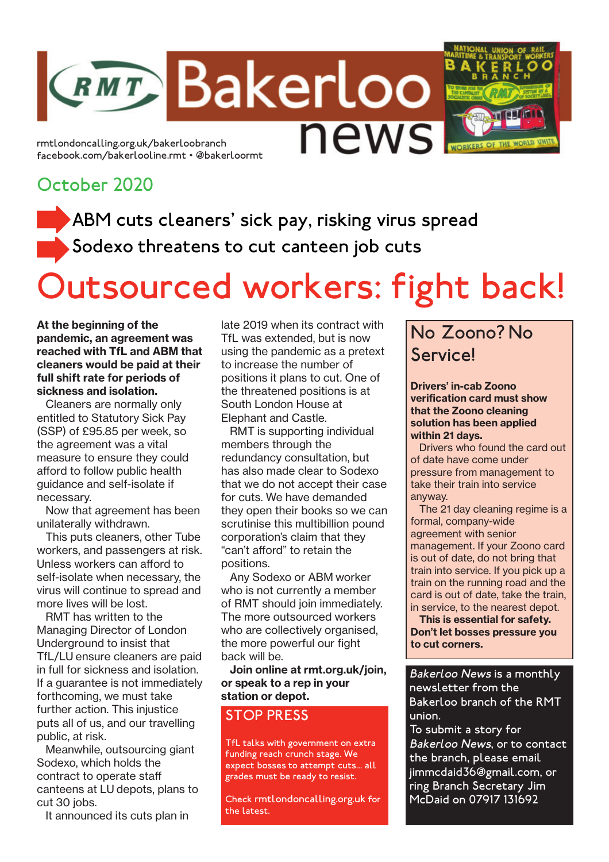rmtlondoncalling.org.uk/bakerloobranch facebook.com/bakerlooline.rmt • @bakerloormt

## October 2020

ABM cuts cleaners' sick pay, risking virus spread Sodexo threatens to cut canteen job cuts

**RMT Bakerloo** 

# Outsourced workers: fight back!

news

At the beginning of the pandemic, an agreement was reached with TfL and ABM that cleaners would be paid at their full shift rate for periods of sickness and isolation.

Cleaners are normally only entitled to Statutory Sick Pay (SSP) of £95.85 per week, so the agreement was a vital measure to ensure they could afford to follow public health guidance and self-isolate if necessary.

Now that agreement has been unilaterally withdrawn.

This puts cleaners, other Tube workers, and passengers at risk. Unless workers can afford to self-isolate when necessary, the virus will continue to spread and more lives will be lost.

RMT has written to the Managing Director of London Underground to insist that TfL/LU ensure cleaners are paid in full for sickness and isolation. If a guarantee is not immediately forthcoming, we must take further action. This injustice puts all of us, and our travelling public, at risk.

Meanwhile, outsourcing giant Sodexo, which holds the contract to operate staff canteens at LU depots, plans to cut 30 jobs.

It announced its cuts plan in

late 2019 when its contract with TfL was extended, but is now using the pandemic as a pretext to increase the number of positions it plans to cut. One of the threatened positions is at South London House at Elephant and Castle.

RMT is supporting individual members through the redundancy consultation, but has also made clear to Sodexo that we do not accept their case for cuts. We have demanded they open their books so we can scrutinise this multibillion pound corporation's claim that they "can't afford" to retain the positions.

Any Sodexo or ABM worker who is not currently a member of RMT should join immediately. The more outsourced workers who are collectively organised, the more powerful our fight back will be.

Join online at rmt.org.uk/join, or speak to a rep in your station or depot.

#### STOP PRESS

TfL talks with government on extra funding reach crunch stage. We expect bosses to attempt cuts... all grades must be ready to resist.

Check rmtlondoncalling.org.uk for the latest.

# No Zoono? No **Servicel**

Drivers' in-cab Zoono verification card must show that the Zoono cleaning solution has been applied within 21 days.

Drivers who found the card out of date have come under pressure from management to take their train into service anyway.

The 21 day cleaning regime is a formal, company-wide agreement with senior management. If your Zoono card is out of date, do not bring that train into service. If you pick up a train on the running road and the card is out of date, take the train, in service, to the nearest depot.

This is essential for safety. Don't let bosses pressure you to cut corners.

Bakerloo News is a monthly newsletter from the Bakerloo branch of the RMT union.

To submit a story for Bakerloo News, or to contact the branch, please email jimmcdaid36@gmail.com, or ring Branch Secretary Jim McDaid on 07917 131692